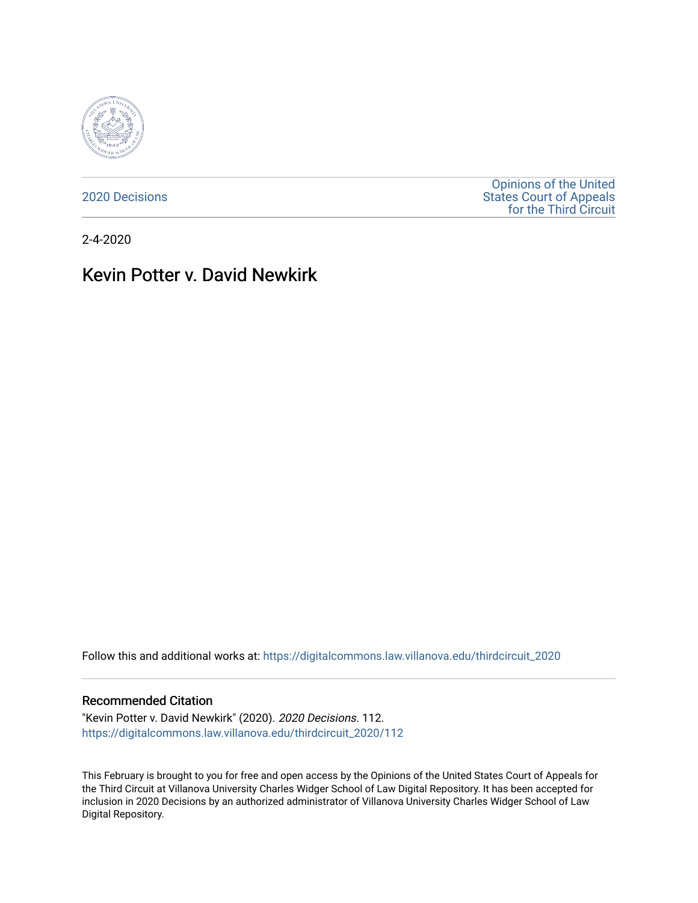

[2020 Decisions](https://digitalcommons.law.villanova.edu/thirdcircuit_2020)

[Opinions of the United](https://digitalcommons.law.villanova.edu/thirdcircuit)  [States Court of Appeals](https://digitalcommons.law.villanova.edu/thirdcircuit)  [for the Third Circuit](https://digitalcommons.law.villanova.edu/thirdcircuit) 

2-4-2020

# Kevin Potter v. David Newkirk

Follow this and additional works at: [https://digitalcommons.law.villanova.edu/thirdcircuit\\_2020](https://digitalcommons.law.villanova.edu/thirdcircuit_2020?utm_source=digitalcommons.law.villanova.edu%2Fthirdcircuit_2020%2F112&utm_medium=PDF&utm_campaign=PDFCoverPages) 

### Recommended Citation

"Kevin Potter v. David Newkirk" (2020). 2020 Decisions. 112. [https://digitalcommons.law.villanova.edu/thirdcircuit\\_2020/112](https://digitalcommons.law.villanova.edu/thirdcircuit_2020/112?utm_source=digitalcommons.law.villanova.edu%2Fthirdcircuit_2020%2F112&utm_medium=PDF&utm_campaign=PDFCoverPages)

This February is brought to you for free and open access by the Opinions of the United States Court of Appeals for the Third Circuit at Villanova University Charles Widger School of Law Digital Repository. It has been accepted for inclusion in 2020 Decisions by an authorized administrator of Villanova University Charles Widger School of Law Digital Repository.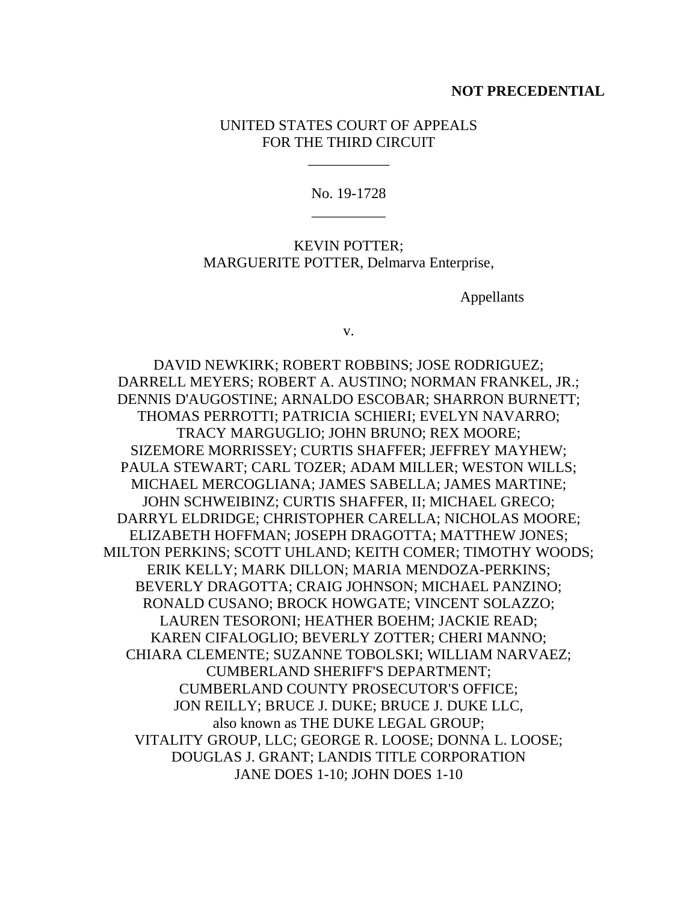### **NOT PRECEDENTIAL**

## UNITED STATES COURT OF APPEALS FOR THE THIRD CIRCUIT

\_\_\_\_\_\_\_\_\_\_\_

No. 19-1728 \_\_\_\_\_\_\_\_\_\_

KEVIN POTTER; MARGUERITE POTTER, Delmarva Enterprise,

Appellants

v.

DAVID NEWKIRK; ROBERT ROBBINS; JOSE RODRIGUEZ; DARRELL MEYERS; ROBERT A. AUSTINO; NORMAN FRANKEL, JR.; DENNIS D'AUGOSTINE; ARNALDO ESCOBAR; SHARRON BURNETT; THOMAS PERROTTI; PATRICIA SCHIERI; EVELYN NAVARRO; TRACY MARGUGLIO; JOHN BRUNO; REX MOORE; SIZEMORE MORRISSEY; CURTIS SHAFFER; JEFFREY MAYHEW; PAULA STEWART; CARL TOZER; ADAM MILLER; WESTON WILLS; MICHAEL MERCOGLIANA; JAMES SABELLA; JAMES MARTINE; JOHN SCHWEIBINZ; CURTIS SHAFFER, II; MICHAEL GRECO; DARRYL ELDRIDGE; CHRISTOPHER CARELLA; NICHOLAS MOORE; ELIZABETH HOFFMAN; JOSEPH DRAGOTTA; MATTHEW JONES; MILTON PERKINS; SCOTT UHLAND; KEITH COMER; TIMOTHY WOODS; ERIK KELLY; MARK DILLON; MARIA MENDOZA-PERKINS; BEVERLY DRAGOTTA; CRAIG JOHNSON; MICHAEL PANZINO; RONALD CUSANO; BROCK HOWGATE; VINCENT SOLAZZO; LAUREN TESORONI; HEATHER BOEHM; JACKIE READ; KAREN CIFALOGLIO; BEVERLY ZOTTER; CHERI MANNO; CHIARA CLEMENTE; SUZANNE TOBOLSKI; WILLIAM NARVAEZ; CUMBERLAND SHERIFF'S DEPARTMENT; CUMBERLAND COUNTY PROSECUTOR'S OFFICE; JON REILLY; BRUCE J. DUKE; BRUCE J. DUKE LLC, also known as THE DUKE LEGAL GROUP; VITALITY GROUP, LLC; GEORGE R. LOOSE; DONNA L. LOOSE; DOUGLAS J. GRANT; LANDIS TITLE CORPORATION JANE DOES 1-10; JOHN DOES 1-10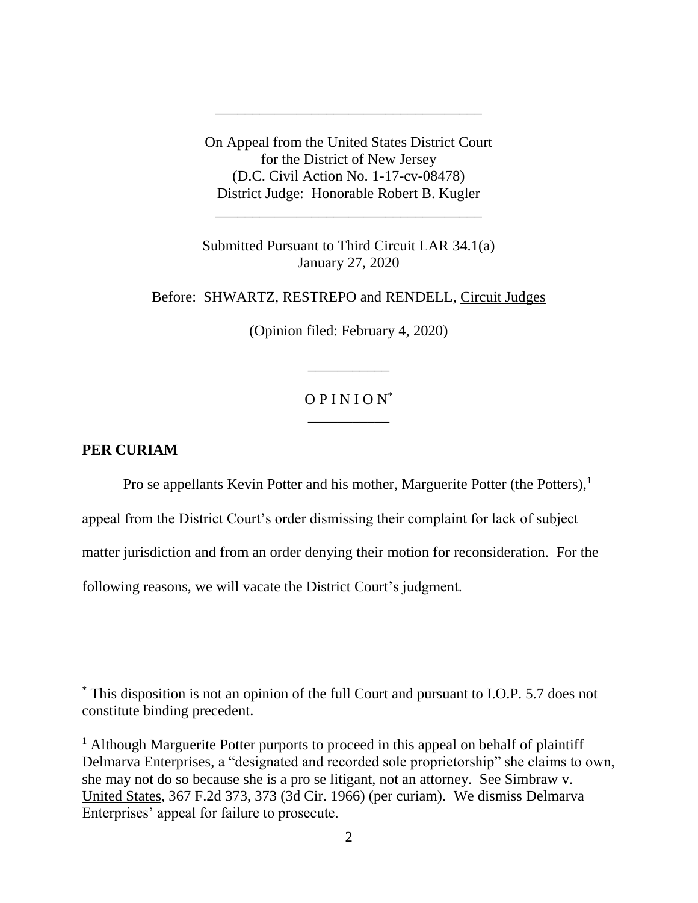On Appeal from the United States District Court for the District of New Jersey (D.C. Civil Action No. 1-17-cv-08478) District Judge: Honorable Robert B. Kugler

\_\_\_\_\_\_\_\_\_\_\_\_\_\_\_\_\_\_\_\_\_\_\_\_\_\_\_\_\_\_\_\_\_\_\_\_

\_\_\_\_\_\_\_\_\_\_\_\_\_\_\_\_\_\_\_\_\_\_\_\_\_\_\_\_\_\_\_\_\_\_\_\_

Submitted Pursuant to Third Circuit LAR 34.1(a) January 27, 2020

Before: SHWARTZ, RESTREPO and RENDELL, Circuit Judges

(Opinion filed: February 4, 2020)

\_\_\_\_\_\_\_\_\_\_\_

## $OPINION^*$ \_\_\_\_\_\_\_\_\_\_\_

## **PER CURIAM**

 $\overline{a}$ 

Pro se appellants Kevin Potter and his mother, Marguerite Potter (the Potters),<sup>1</sup>

appeal from the District Court's order dismissing their complaint for lack of subject

matter jurisdiction and from an order denying their motion for reconsideration. For the

following reasons, we will vacate the District Court's judgment.

<sup>\*</sup> This disposition is not an opinion of the full Court and pursuant to I.O.P. 5.7 does not constitute binding precedent.

<sup>&</sup>lt;sup>1</sup> Although Marguerite Potter purports to proceed in this appeal on behalf of plaintiff Delmarva Enterprises, a "designated and recorded sole proprietorship" she claims to own, she may not do so because she is a pro se litigant, not an attorney. See Simbraw v. United States, 367 F.2d 373, 373 (3d Cir. 1966) (per curiam). We dismiss Delmarva Enterprises' appeal for failure to prosecute.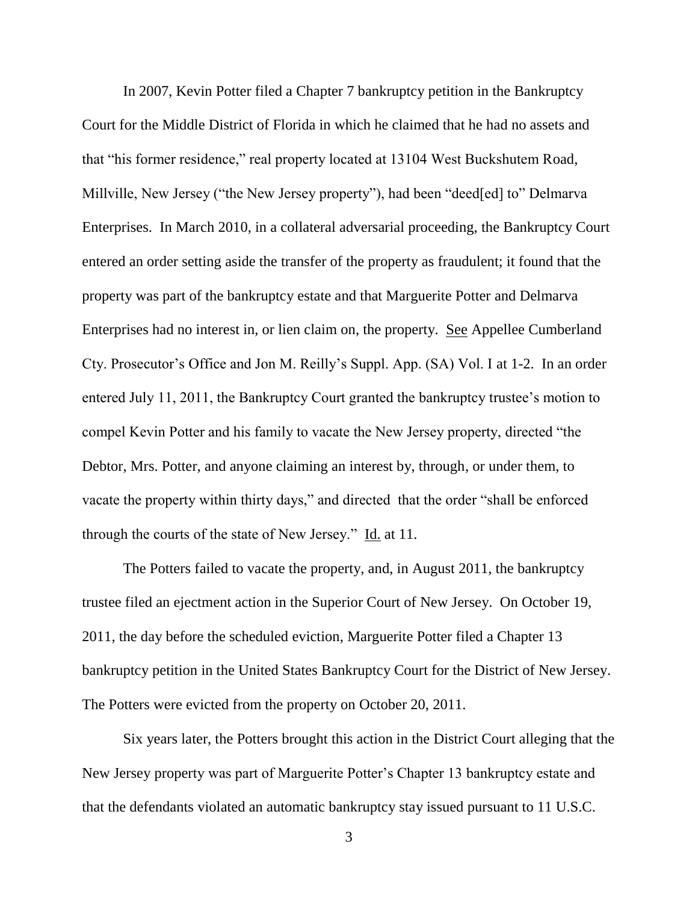In 2007, Kevin Potter filed a Chapter 7 bankruptcy petition in the Bankruptcy Court for the Middle District of Florida in which he claimed that he had no assets and that "his former residence," real property located at 13104 West Buckshutem Road, Millville, New Jersey ("the New Jersey property"), had been "deed[ed] to" Delmarva Enterprises. In March 2010, in a collateral adversarial proceeding, the Bankruptcy Court entered an order setting aside the transfer of the property as fraudulent; it found that the property was part of the bankruptcy estate and that Marguerite Potter and Delmarva Enterprises had no interest in, or lien claim on, the property. See Appellee Cumberland Cty. Prosecutor's Office and Jon M. Reilly's Suppl. App. (SA) Vol. I at 1-2. In an order entered July 11, 2011, the Bankruptcy Court granted the bankruptcy trustee's motion to compel Kevin Potter and his family to vacate the New Jersey property, directed "the Debtor, Mrs. Potter, and anyone claiming an interest by, through, or under them, to vacate the property within thirty days," and directed that the order "shall be enforced through the courts of the state of New Jersey." Id. at 11.

The Potters failed to vacate the property, and, in August 2011, the bankruptcy trustee filed an ejectment action in the Superior Court of New Jersey. On October 19, 2011, the day before the scheduled eviction, Marguerite Potter filed a Chapter 13 bankruptcy petition in the United States Bankruptcy Court for the District of New Jersey. The Potters were evicted from the property on October 20, 2011.

Six years later, the Potters brought this action in the District Court alleging that the New Jersey property was part of Marguerite Potter's Chapter 13 bankruptcy estate and that the defendants violated an automatic bankruptcy stay issued pursuant to 11 U.S.C.

3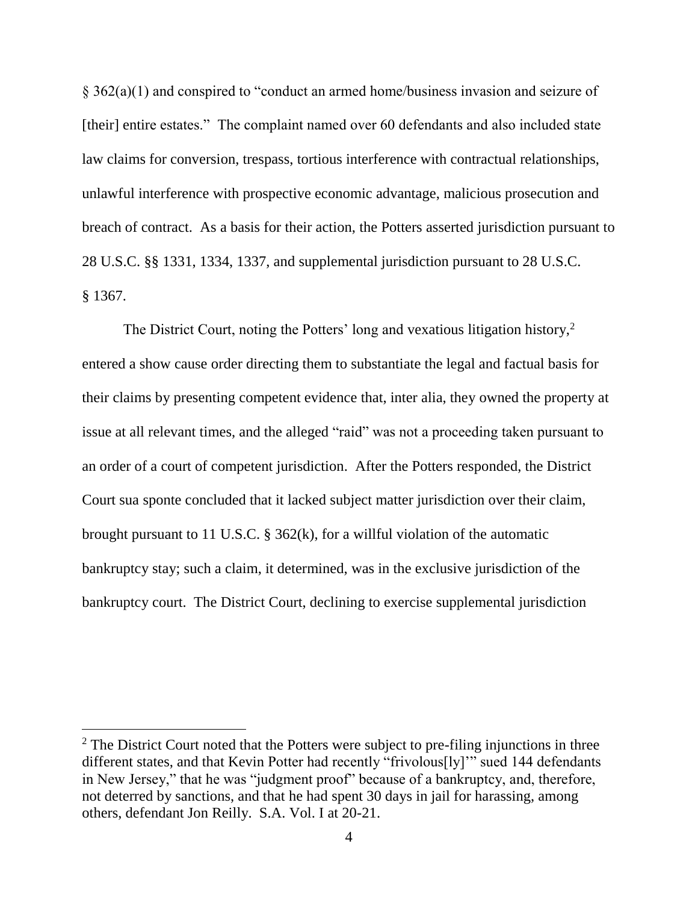§ 362(a)(1) and conspired to "conduct an armed home/business invasion and seizure of [their] entire estates." The complaint named over 60 defendants and also included state law claims for conversion, trespass, tortious interference with contractual relationships, unlawful interference with prospective economic advantage, malicious prosecution and breach of contract. As a basis for their action, the Potters asserted jurisdiction pursuant to 28 U.S.C. §§ 1331, 1334, 1337, and supplemental jurisdiction pursuant to 28 U.S.C. § 1367.

The District Court, noting the Potters' long and vexatious litigation history,<sup>2</sup> entered a show cause order directing them to substantiate the legal and factual basis for their claims by presenting competent evidence that, inter alia, they owned the property at issue at all relevant times, and the alleged "raid" was not a proceeding taken pursuant to an order of a court of competent jurisdiction. After the Potters responded, the District Court sua sponte concluded that it lacked subject matter jurisdiction over their claim, brought pursuant to 11 U.S.C. § 362(k), for a willful violation of the automatic bankruptcy stay; such a claim, it determined, was in the exclusive jurisdiction of the bankruptcy court. The District Court, declining to exercise supplemental jurisdiction

 $2$  The District Court noted that the Potters were subject to pre-filing injunctions in three different states, and that Kevin Potter had recently "frivolous[ly]'" sued 144 defendants in New Jersey," that he was "judgment proof" because of a bankruptcy, and, therefore, not deterred by sanctions, and that he had spent 30 days in jail for harassing, among others, defendant Jon Reilly. S.A. Vol. I at 20-21.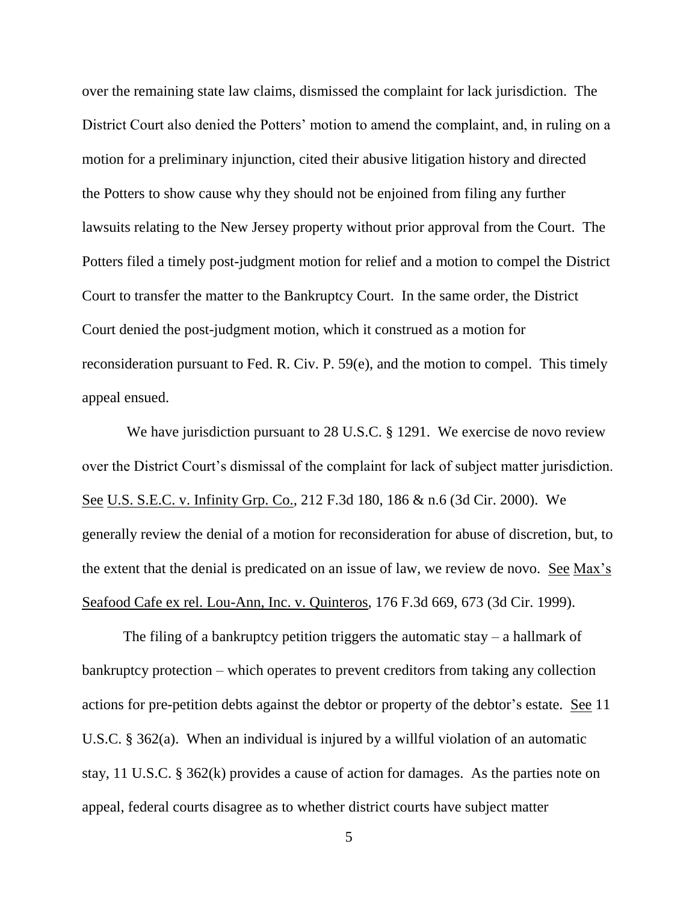over the remaining state law claims, dismissed the complaint for lack jurisdiction. The District Court also denied the Potters' motion to amend the complaint, and, in ruling on a motion for a preliminary injunction, cited their abusive litigation history and directed the Potters to show cause why they should not be enjoined from filing any further lawsuits relating to the New Jersey property without prior approval from the Court. The Potters filed a timely post-judgment motion for relief and a motion to compel the District Court to transfer the matter to the Bankruptcy Court. In the same order, the District Court denied the post-judgment motion, which it construed as a motion for reconsideration pursuant to Fed. R. Civ. P. 59(e), and the motion to compel. This timely appeal ensued.

We have jurisdiction pursuant to 28 U.S.C. § 1291. We exercise de novo review over the District Court's dismissal of the complaint for lack of subject matter jurisdiction. See U.S. S.E.C. v. Infinity Grp. Co., 212 F.3d 180, 186 & n.6 (3d Cir. 2000). We generally review the denial of a motion for reconsideration for abuse of discretion, but, to the extent that the denial is predicated on an issue of law, we review de novo. See Max's Seafood Cafe ex rel. Lou-Ann, Inc. v. Quinteros, 176 F.3d 669, 673 (3d Cir. 1999).

The filing of a bankruptcy petition triggers the automatic stay  $-$  a hallmark of bankruptcy protection – which operates to prevent creditors from taking any collection actions for pre-petition debts against the debtor or property of the debtor's estate. See 11 U.S.C. § 362(a). When an individual is injured by a willful violation of an automatic stay, 11 U.S.C. § 362(k) provides a cause of action for damages. As the parties note on appeal, federal courts disagree as to whether district courts have subject matter

5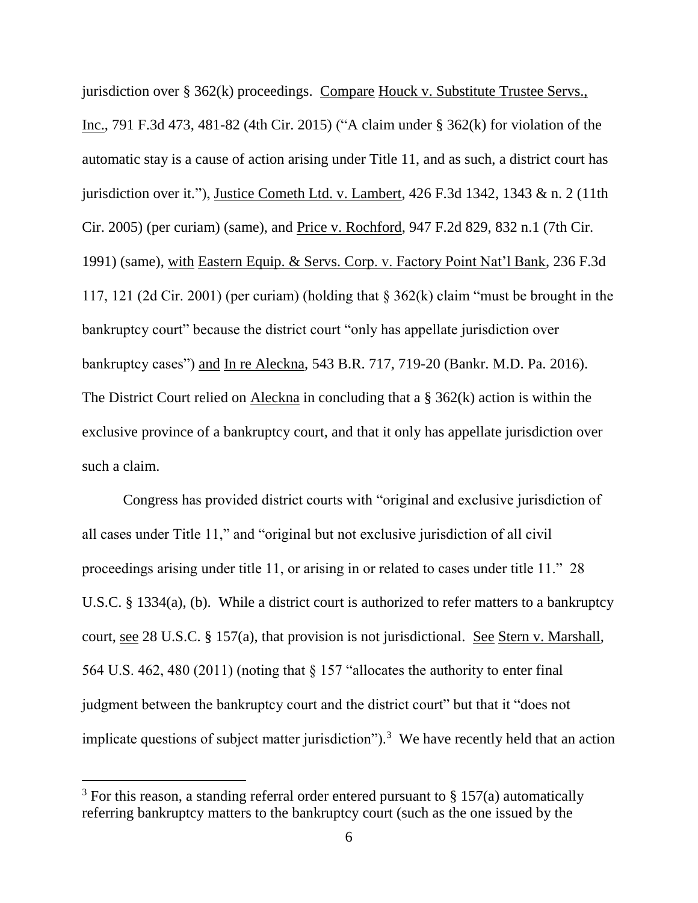jurisdiction over § 362(k) proceedings. Compare Houck v. Substitute Trustee Servs., Inc., 791 F.3d 473, 481-82 (4th Cir. 2015) ("A claim under § 362(k) for violation of the automatic stay is a cause of action arising under Title 11, and as such, a district court has jurisdiction over it."), Justice Cometh Ltd. v. Lambert, 426 F.3d 1342, 1343 & n. 2 (11th Cir. 2005) (per curiam) (same), and Price v. Rochford, 947 F.2d 829, 832 n.1 (7th Cir. 1991) (same), with Eastern Equip. & Servs. Corp. v. Factory Point Nat'l Bank, 236 F.3d 117, 121 (2d Cir. 2001) (per curiam) (holding that § 362(k) claim "must be brought in the bankruptcy court" because the district court "only has appellate jurisdiction over bankruptcy cases") and In re Aleckna, 543 B.R. 717, 719-20 (Bankr. M.D. Pa. 2016). The District Court relied on Aleckna in concluding that a § 362(k) action is within the exclusive province of a bankruptcy court, and that it only has appellate jurisdiction over such a claim.

Congress has provided district courts with "original and exclusive jurisdiction of all cases under Title 11," and "original but not exclusive jurisdiction of all civil proceedings arising under title 11, or arising in or related to cases under title 11." 28 U.S.C. § 1334(a), (b). While a district court is authorized to refer matters to a bankruptcy court, see 28 U.S.C. § 157(a), that provision is not jurisdictional. See Stern v. Marshall, 564 U.S. 462, 480 (2011) (noting that § 157 "allocates the authority to enter final judgment between the bankruptcy court and the district court" but that it "does not implicate questions of subject matter jurisdiction").<sup>3</sup> We have recently held that an action

<sup>&</sup>lt;sup>3</sup> For this reason, a standing referral order entered pursuant to  $\S 157(a)$  automatically referring bankruptcy matters to the bankruptcy court (such as the one issued by the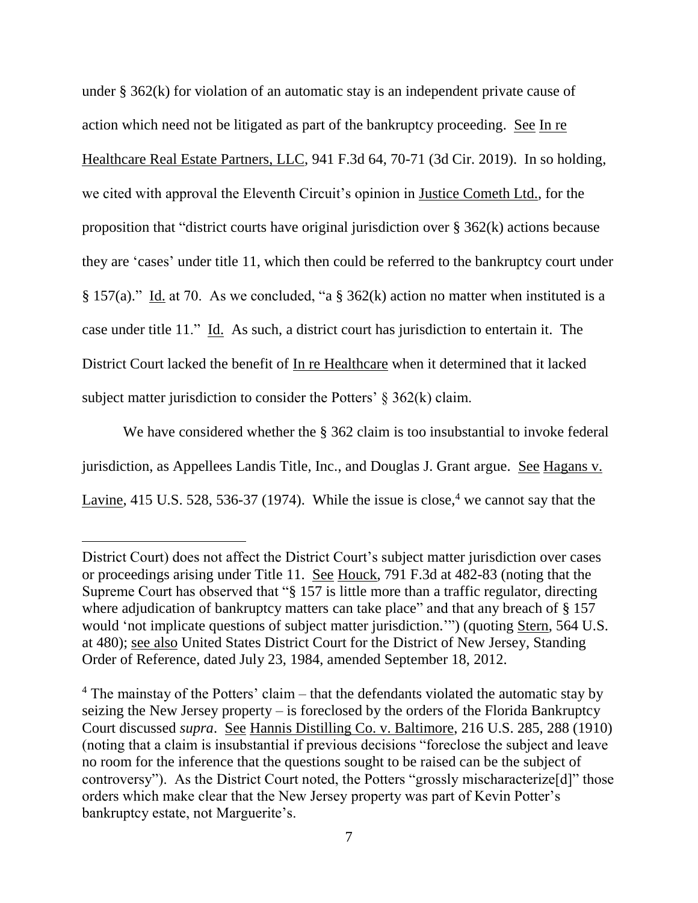under § 362(k) for violation of an automatic stay is an independent private cause of action which need not be litigated as part of the bankruptcy proceeding. See In re Healthcare Real Estate Partners, LLC, 941 F.3d 64, 70-71 (3d Cir. 2019). In so holding, we cited with approval the Eleventh Circuit's opinion in Justice Cometh Ltd., for the proposition that "district courts have original jurisdiction over § 362(k) actions because they are 'cases' under title 11, which then could be referred to the bankruptcy court under § 157(a)." Id. at 70. As we concluded, "a § 362(k) action no matter when instituted is a case under title 11." Id. As such, a district court has jurisdiction to entertain it. The District Court lacked the benefit of In re Healthcare when it determined that it lacked subject matter jurisdiction to consider the Potters'  $\S$  362(k) claim.

We have considered whether the § 362 claim is too insubstantial to invoke federal jurisdiction, as Appellees Landis Title, Inc., and Douglas J. Grant argue. See Hagans v. Lavine, 415 U.S. 528, 536-37 (1974). While the issue is close,<sup>4</sup> we cannot say that the

District Court) does not affect the District Court's subject matter jurisdiction over cases or proceedings arising under Title 11. See Houck, 791 F.3d at 482-83 (noting that the Supreme Court has observed that "§ 157 is little more than a traffic regulator, directing where adjudication of bankruptcy matters can take place" and that any breach of § 157 would 'not implicate questions of subject matter jurisdiction.'") (quoting Stern, 564 U.S. at 480); see also United States District Court for the District of New Jersey, Standing Order of Reference, dated July 23, 1984, amended September 18, 2012.

 $4$  The mainstay of the Potters' claim – that the defendants violated the automatic stay by seizing the New Jersey property – is foreclosed by the orders of the Florida Bankruptcy Court discussed *supra*. See Hannis Distilling Co. v. Baltimore, 216 U.S. 285, 288 (1910) (noting that a claim is insubstantial if previous decisions "foreclose the subject and leave no room for the inference that the questions sought to be raised can be the subject of controversy"). As the District Court noted, the Potters "grossly mischaracterize[d]" those orders which make clear that the New Jersey property was part of Kevin Potter's bankruptcy estate, not Marguerite's.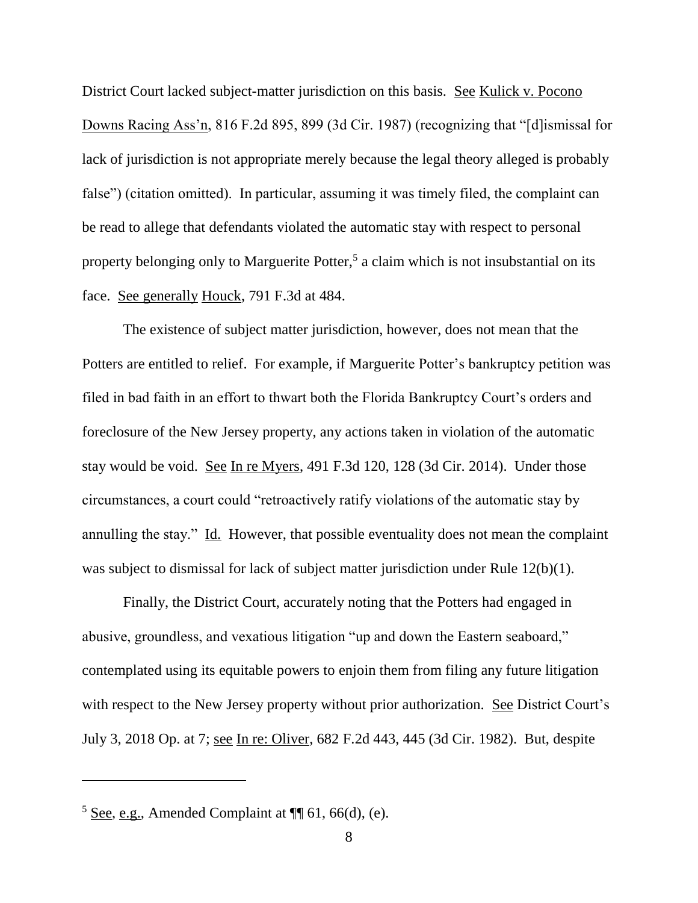District Court lacked subject-matter jurisdiction on this basis. See Kulick v. Pocono Downs Racing Ass'n, 816 F.2d 895, 899 (3d Cir. 1987) (recognizing that "[d]ismissal for lack of jurisdiction is not appropriate merely because the legal theory alleged is probably false") (citation omitted). In particular, assuming it was timely filed, the complaint can be read to allege that defendants violated the automatic stay with respect to personal property belonging only to Marguerite Potter,<sup>5</sup> a claim which is not insubstantial on its face. See generally Houck, 791 F.3d at 484.

The existence of subject matter jurisdiction, however, does not mean that the Potters are entitled to relief. For example, if Marguerite Potter's bankruptcy petition was filed in bad faith in an effort to thwart both the Florida Bankruptcy Court's orders and foreclosure of the New Jersey property, any actions taken in violation of the automatic stay would be void. See In re Myers, 491 F.3d 120, 128 (3d Cir. 2014). Under those circumstances, a court could "retroactively ratify violations of the automatic stay by annulling the stay." Id. However, that possible eventuality does not mean the complaint was subject to dismissal for lack of subject matter jurisdiction under Rule 12(b)(1).

Finally, the District Court, accurately noting that the Potters had engaged in abusive, groundless, and vexatious litigation "up and down the Eastern seaboard," contemplated using its equitable powers to enjoin them from filing any future litigation with respect to the New Jersey property without prior authorization. See District Court's July 3, 2018 Op. at 7; see In re: Oliver, 682 F.2d 443, 445 (3d Cir. 1982). But, despite

 $5$  See, e.g., Amended Complaint at  $\P$  61, 66(d), (e).